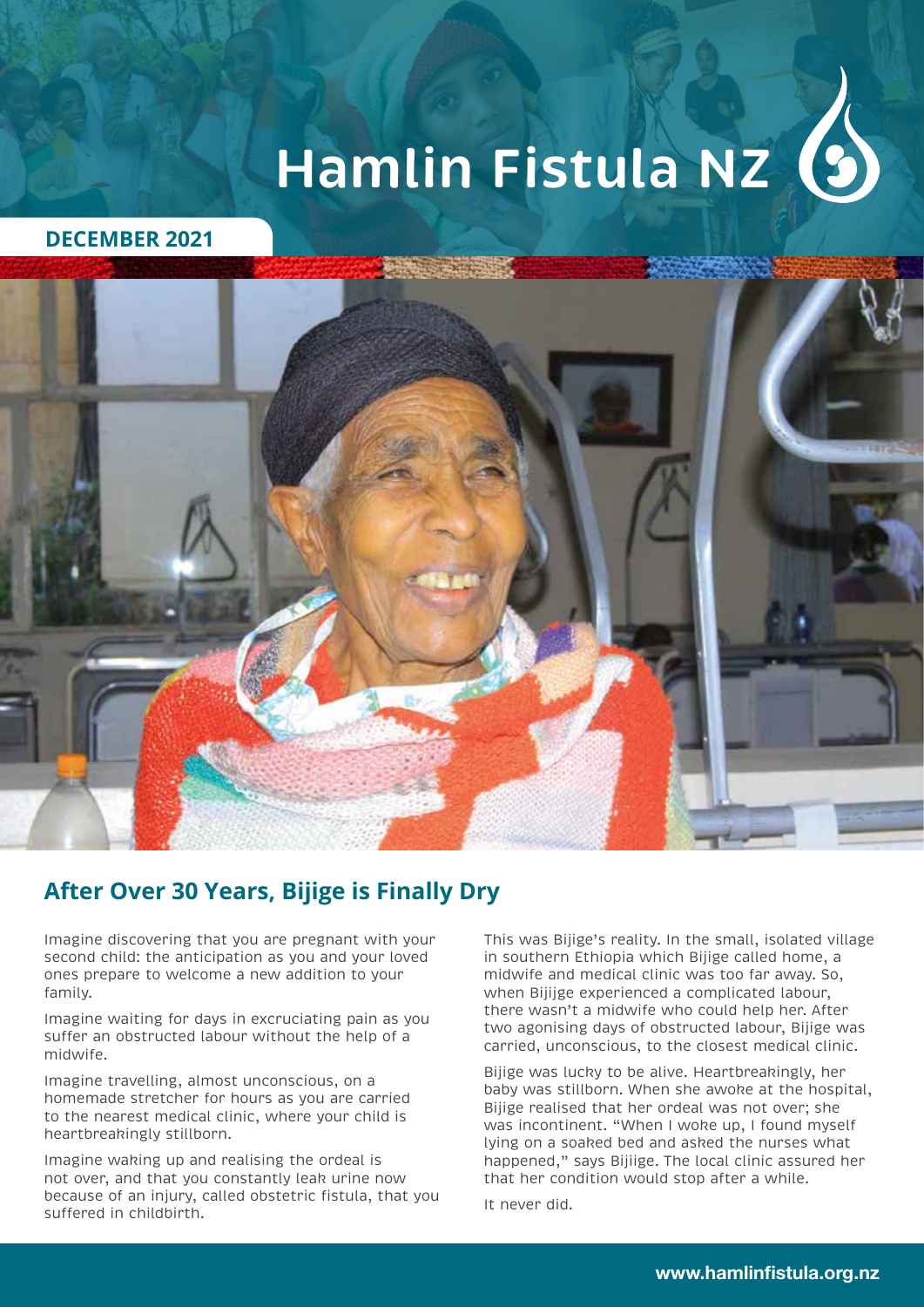# **Hamlin Fistula NZ**

#### **DECEMBER 2021**



## **After Over 30 Years, Bijige is Finally Dry**

Imagine discovering that you are pregnant with your second child: the anticipation as you and your loved ones prepare to welcome a new addition to your family.

Imagine waiting for days in excruciating pain as you suffer an obstructed labour without the help of a midwife.

Imagine travelling, almost unconscious, on a homemade stretcher for hours as you are carried to the nearest medical clinic, where your child is heartbreakingly stillborn.

Imagine waking up and realising the ordeal is not over, and that you constantly leak urine now because of an injury, called obstetric fistula, that you suffered in childbirth.

This was Bijige's reality. In the small, isolated village in southern Ethiopia which Bijige called home, a midwife and medical clinic was too far away. So, when Bijijge experienced a complicated labour, there wasn't a midwife who could help her. After two agonising days of obstructed labour, Bijige was carried, unconscious, to the closest medical clinic.

Bijige was lucky to be alive. Heartbreakingly, her baby was stillborn. When she awoke at the hospital, Bijige realised that her ordeal was not over; she was incontinent. "When I woke up, I found myself lying on a soaked bed and asked the nurses what happened," says Bijiige. The local clinic assured her that her condition would stop after a while.

It never did.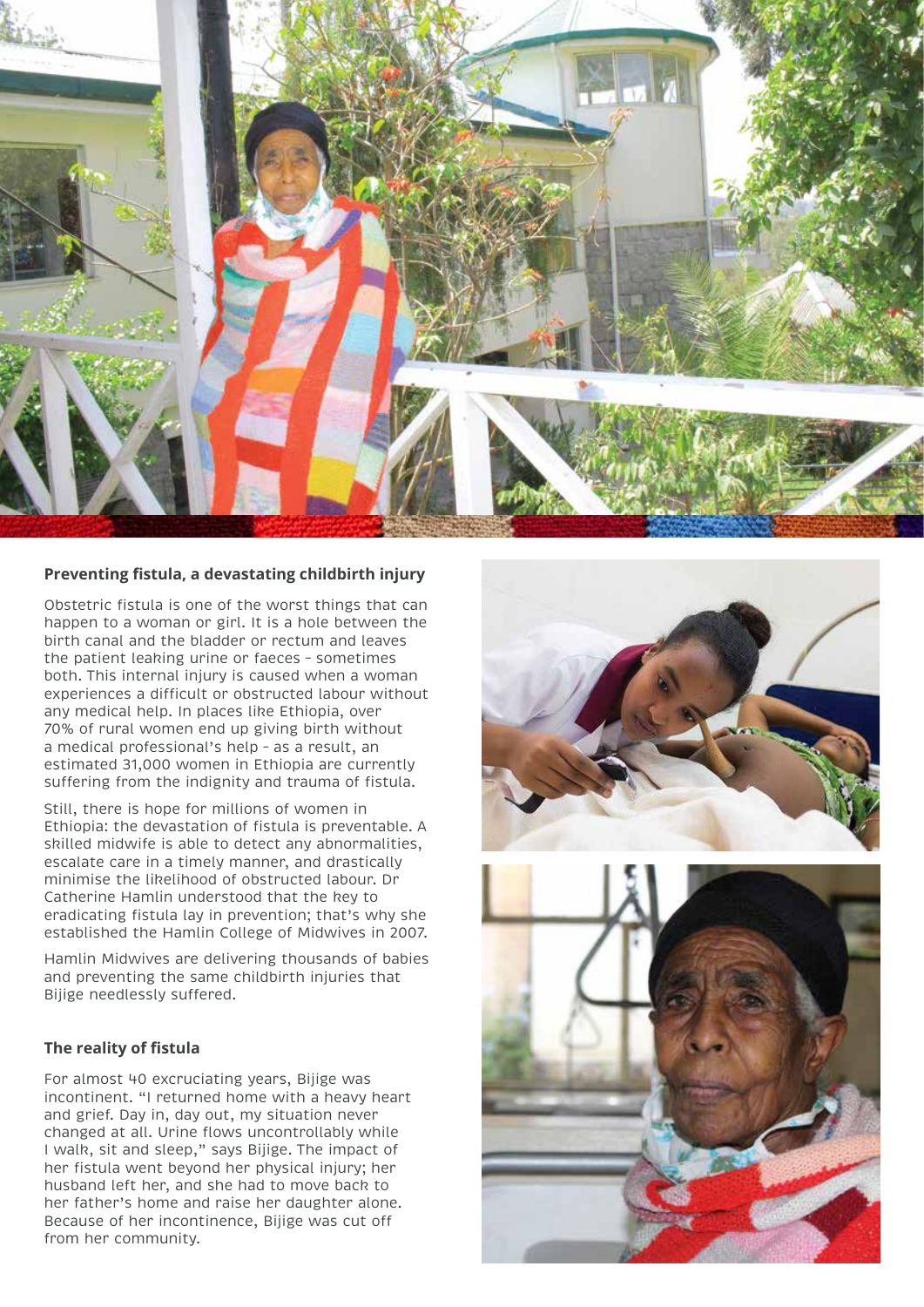

#### **Preventing fistula, a devastating childbirth injury**

Obstetric fistula is one of the worst things that can happen to a woman or girl. It is a hole between the birth canal and the bladder or rectum and leaves the patient leaking urine or faeces – sometimes both. This internal injury is caused when a woman experiences a difficult or obstructed labour without any medical help. In places like Ethiopia, over 70% of rural women end up giving birth without a medical professional's help – as a result, an estimated 31,000 women in Ethiopia are currently suffering from the indignity and trauma of fistula.

Still, there is hope for millions of women in Ethiopia: the devastation of fistula is preventable. A skilled midwife is able to detect any abnormalities, escalate care in a timely manner, and drastically minimise the likelihood of obstructed labour. Dr Catherine Hamlin understood that the key to eradicating fistula lay in prevention; that's why she established the Hamlin College of Midwives in 2007.

Hamlin Midwives are delivering thousands of babies and preventing the same childbirth injuries that Bijige needlessly suffered.

#### **The reality of fistula**

For almost 40 excruciating years, Bijige was incontinent. "I returned home with a heavy heart and grief. Day in, day out, my situation never changed at all. Urine flows uncontrollably while I walk, sit and sleep," says Bijige. The impact of her fistula went beyond her physical injury; her husband left her, and she had to move back to her father's home and raise her daughter alone. Because of her incontinence, Bijige was cut off from her community.

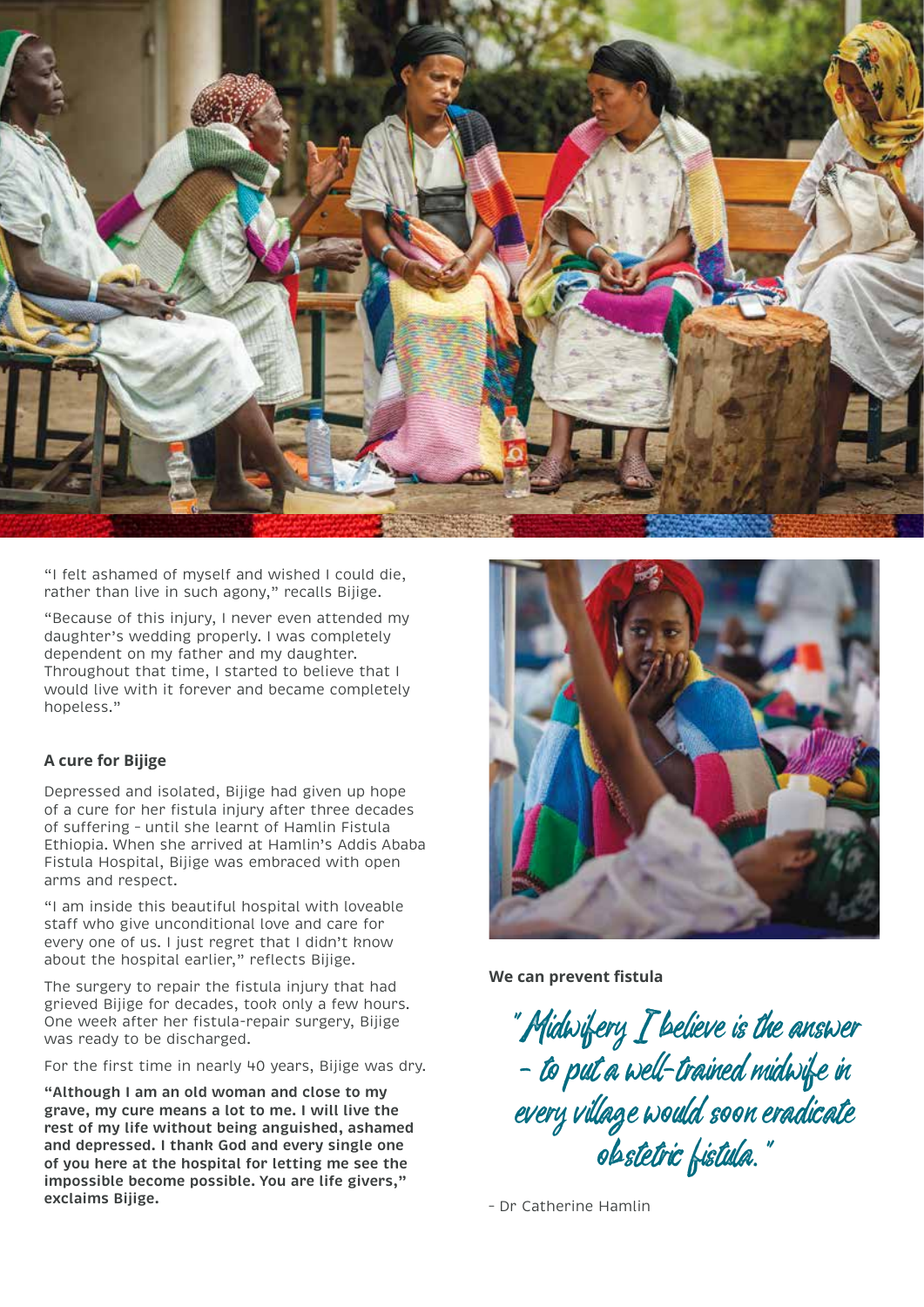

"I felt ashamed of myself and wished I could die, rather than live in such agony," recalls Bijige.

"Because of this injury, I never even attended my daughter's wedding properly. I was completely dependent on my father and my daughter. Throughout that time, I started to believe that I would live with it forever and became completely hopeless."

#### **A cure for Bijige**

Depressed and isolated, Bijige had given up hope of a cure for her fistula injury after three decades of suffering – until she learnt of Hamlin Fistula Ethiopia. When she arrived at Hamlin's Addis Ababa Fistula Hospital, Bijige was embraced with open arms and respect.

"I am inside this beautiful hospital with loveable staff who give unconditional love and care for every one of us. I just regret that I didn't know about the hospital earlier," reflects Bijige.

The surgery to repair the fistula injury that had grieved Bijige for decades, took only a few hours. One week after her fistula-repair surgery, Bijige was ready to be discharged.

For the first time in nearly 40 years, Bijige was dry.

**"Although I am an old woman and close to my grave, my cure means a lot to me. I will live the rest of my life without being anguished, ashamed and depressed. I thank God and every single one of you here at the hospital for letting me see the impossible become possible. You are life givers," exclaims Bijige.** 



**We can prevent fistula**

"Midwifery I believe is the answer – to put a well-trained midwife in every village would soon eradicate obstetric fistula."

– Dr Catherine Hamlin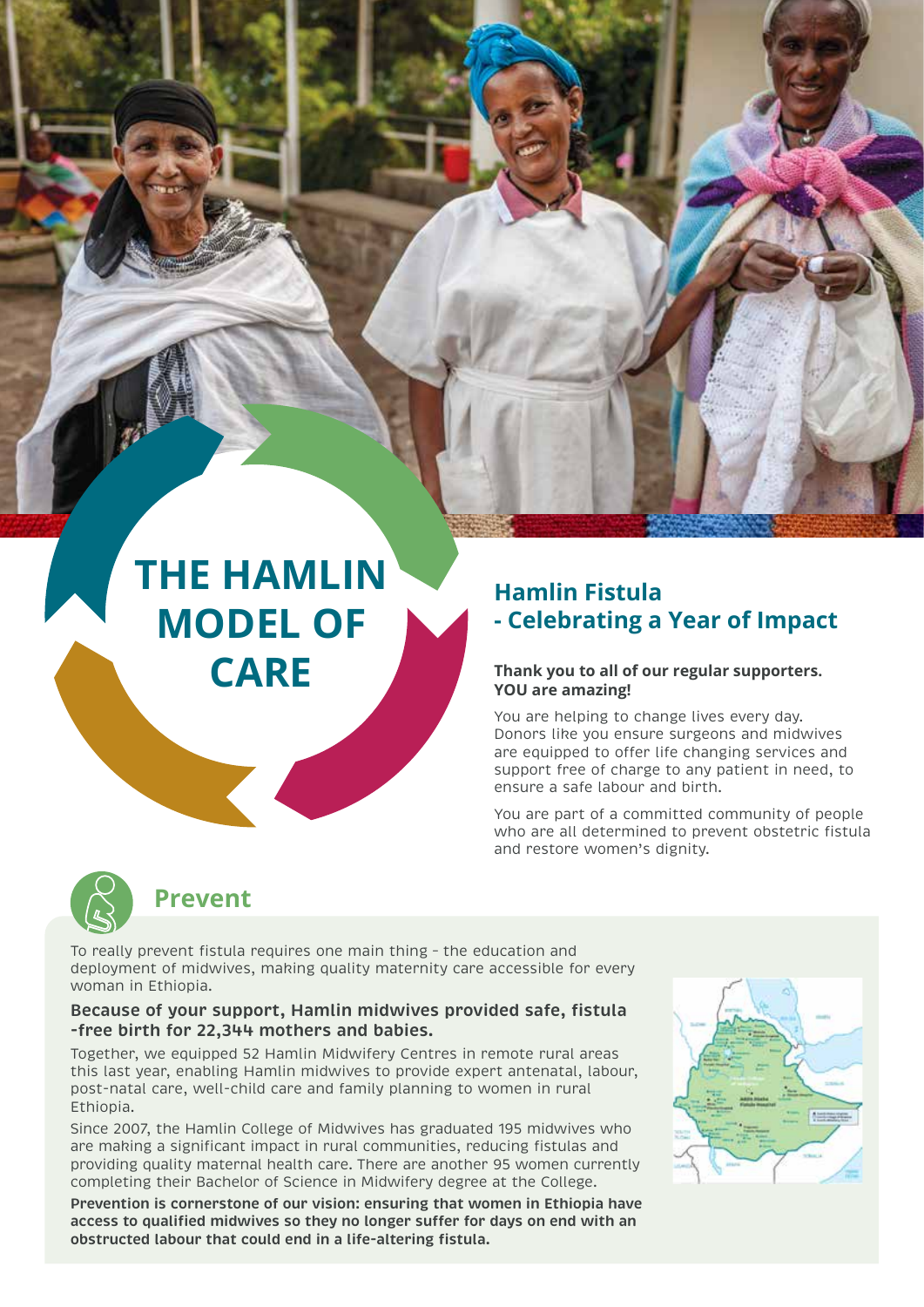## **THE HAMLIN MODEL OF CARE**

## **Hamlin Fistula - Celebrating a Year of Impact**

#### **Thank you to all of our regular supporters. YOU are amazing!**

You are helping to change lives every day. Donors like you ensure surgeons and midwives are equipped to offer life changing services and support free of charge to any patient in need, to ensure a safe labour and birth.

You are part of a committed community of people who are all determined to prevent obstetric fistula and restore women's dignity.



### **Prevent**

To really prevent fistula requires one main thing – the education and deployment of midwives, making quality maternity care accessible for every woman in Ethiopia.

#### **Because of your support, Hamlin midwives provided safe, fistula -free birth for 22,344 mothers and babies.**

Together, we equipped 52 Hamlin Midwifery Centres in remote rural areas this last year, enabling Hamlin midwives to provide expert antenatal, labour, post-natal care, well-child care and family planning to women in rural Ethiopia.

Since 2007, the Hamlin College of Midwives has graduated 195 midwives who are making a significant impact in rural communities, reducing fistulas and providing quality maternal health care. There are another 95 women currently completing their Bachelor of Science in Midwifery degree at the College.

**Prevention is cornerstone of our vision: ensuring that women in Ethiopia have access to qualified midwives so they no longer suffer for days on end with an obstructed labour that could end in a life-altering fistula.**

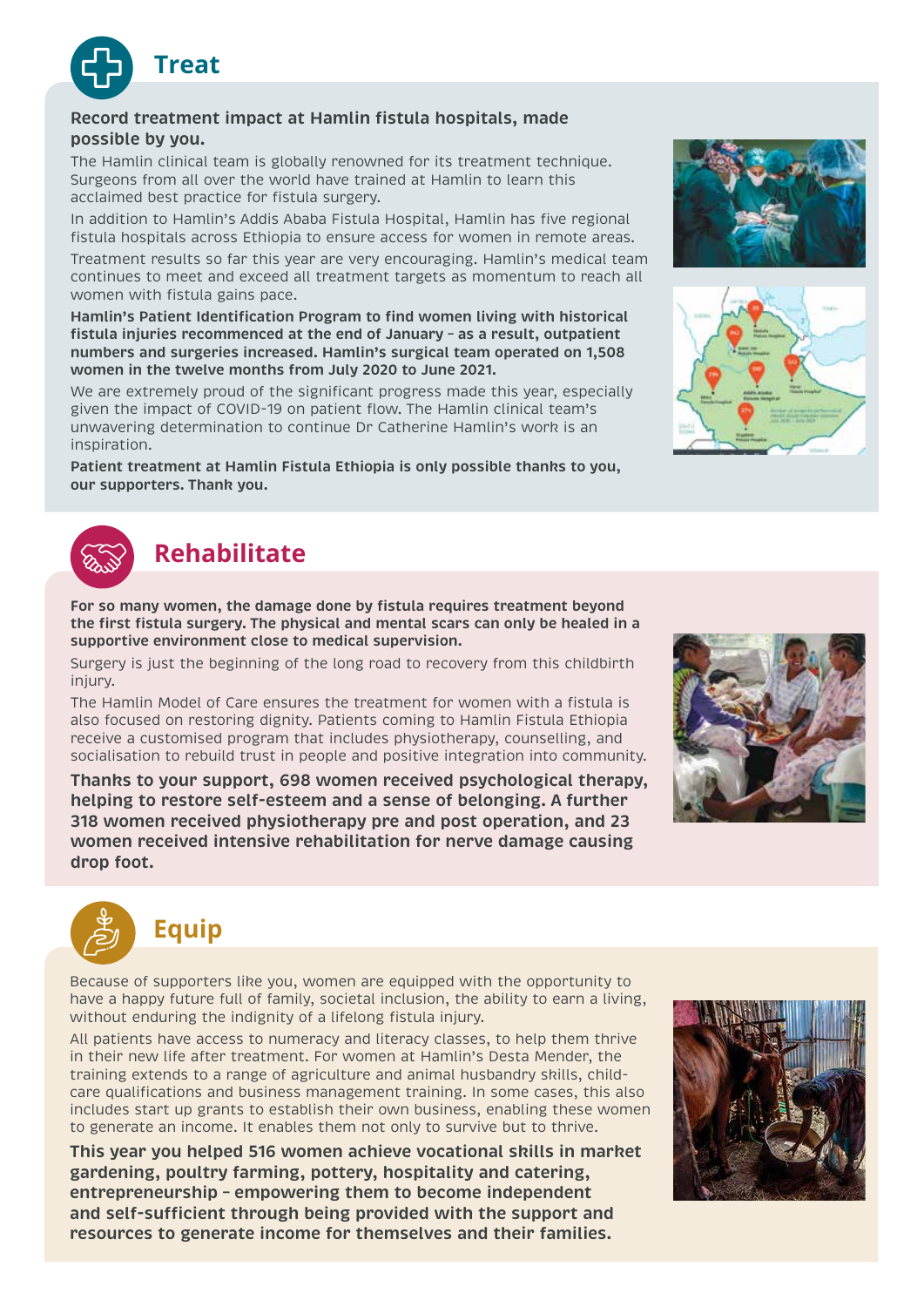

#### **Record treatment impact at Hamlin fistula hospitals, made possible by you.**

The Hamlin clinical team is globally renowned for its treatment technique. Surgeons from all over the world have trained at Hamlin to learn this acclaimed best practice for fistula surgery.

In addition to Hamlin's Addis Ababa Fistula Hospital, Hamlin has five regional fistula hospitals across Ethiopia to ensure access for women in remote areas.

Treatment results so far this year are very encouraging. Hamlin's medical team continues to meet and exceed all treatment targets as momentum to reach all women with fistula gains pace.

**Hamlin's Patient Identification Program to find women living with historical fistula injuries recommenced at the end of January – as a result, outpatient numbers and surgeries increased. Hamlin's surgical team operated on 1,508 women in the twelve months from July 2020 to June 2021.**

We are extremely proud of the significant progress made this year, especially given the impact of COVID-19 on patient flow. The Hamlin clinical team's unwavering determination to continue Dr Catherine Hamlin's work is an inspiration.

**Patient treatment at Hamlin Fistula Ethiopia is only possible thanks to you, our supporters. Thank you.**



## **Rehabilitate**

**For so many women, the damage done by fistula requires treatment beyond the first fistula surgery. The physical and mental scars can only be healed in a supportive environment close to medical supervision.**

Surgery is just the beginning of the long road to recovery from this childbirth injury.

The Hamlin Model of Care ensures the treatment for women with a fistula is also focused on restoring dignity. Patients coming to Hamlin Fistula Ethiopia receive a customised program that includes physiotherapy, counselling, and socialisation to rebuild trust in people and positive integration into community.

**Thanks to your support, 698 women received psychological therapy, helping to restore self-esteem and a sense of belonging. A further 318 women received physiotherapy pre and post operation, and 23 women received intensive rehabilitation for nerve damage causing drop foot.**





Because of supporters like you, women are equipped with the opportunity to have a happy future full of family, societal inclusion, the ability to earn a living, without enduring the indignity of a lifelong fistula injury.

All patients have access to numeracy and literacy classes, to help them thrive in their new life after treatment. For women at Hamlin's Desta Mender, the training extends to a range of agriculture and animal husbandry skills, childcare qualifications and business management training. In some cases, this also includes start up grants to establish their own business, enabling these women to generate an income. It enables them not only to survive but to thrive.

**This year you helped 516 women achieve vocational skills in market gardening, poultry farming, pottery, hospitality and catering, entrepreneurship – empowering them to become independent and self-sufficient through being provided with the support and resources to generate income for themselves and their families.**





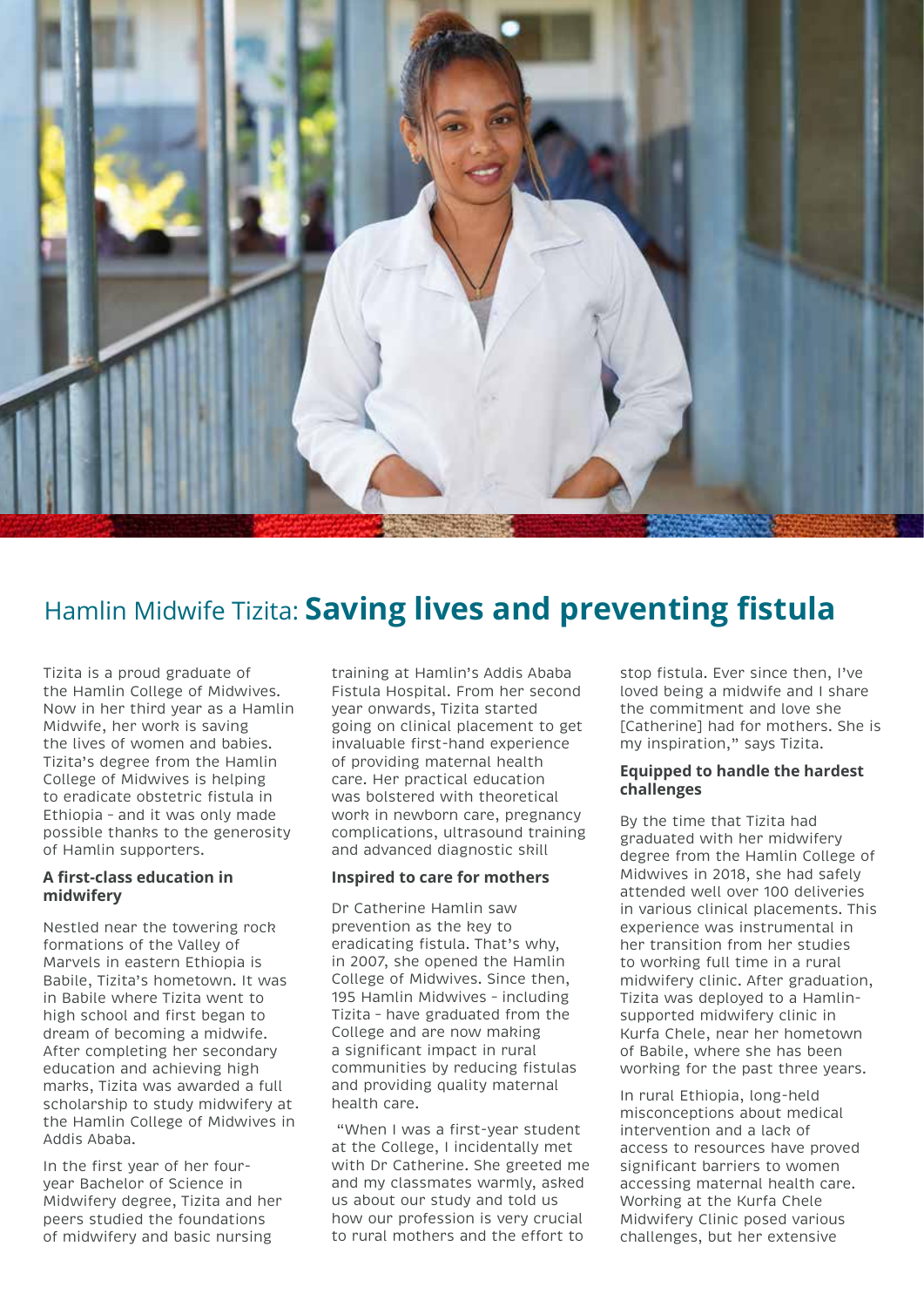

## Hamlin Midwife Tizita: **Saving lives and preventing fistula**

Tizita is a proud graduate of the Hamlin College of Midwives. Now in her third year as a Hamlin Midwife, her work is saving the lives of women and babies. Tizita's degree from the Hamlin College of Midwives is helping to eradicate obstetric fistula in Ethiopia – and it was only made possible thanks to the generosity of Hamlin supporters.

#### **A first-class education in midwifery**

Nestled near the towering rock formations of the Valley of Marvels in eastern Ethiopia is Babile, Tizita's hometown. It was in Babile where Tizita went to high school and first began to dream of becoming a midwife. After completing her secondary education and achieving high marks, Tizita was awarded a full scholarship to study midwifery at the Hamlin College of Midwives in Addis Ababa.

In the first year of her fouryear Bachelor of Science in Midwifery degree, Tizita and her peers studied the foundations of midwifery and basic nursing

training at Hamlin's Addis Ababa Fistula Hospital. From her second year onwards, Tizita started going on clinical placement to get invaluable first-hand experience of providing maternal health care. Her practical education was bolstered with theoretical work in newborn care, pregnancy complications, ultrasound training and advanced diagnostic skill

#### **Inspired to care for mothers**

Dr Catherine Hamlin saw prevention as the key to eradicating fistula. That's why, in 2007, she opened the Hamlin College of Midwives. Since then, 195 Hamlin Midwives – including Tizita – have graduated from the College and are now making a significant impact in rural communities by reducing fistulas and providing quality maternal health care.

 "When I was a first-year student at the College, I incidentally met with Dr Catherine. She greeted me and my classmates warmly, asked us about our study and told us how our profession is very crucial to rural mothers and the effort to

stop fistula. Ever since then, I've loved being a midwife and I share the commitment and love she [Catherine] had for mothers. She is my inspiration," says Tizita.

#### **Equipped to handle the hardest challenges**

By the time that Tizita had graduated with her midwifery degree from the Hamlin College of Midwives in 2018, she had safely attended well over 100 deliveries in various clinical placements. This experience was instrumental in her transition from her studies to working full time in a rural midwifery clinic. After graduation, Tizita was deployed to a Hamlinsupported midwifery clinic in Kurfa Chele, near her hometown of Babile, where she has been working for the past three years.

In rural Ethiopia, long-held misconceptions about medical intervention and a lack of access to resources have proved significant barriers to women accessing maternal health care. Working at the Kurfa Chele Midwifery Clinic posed various challenges, but her extensive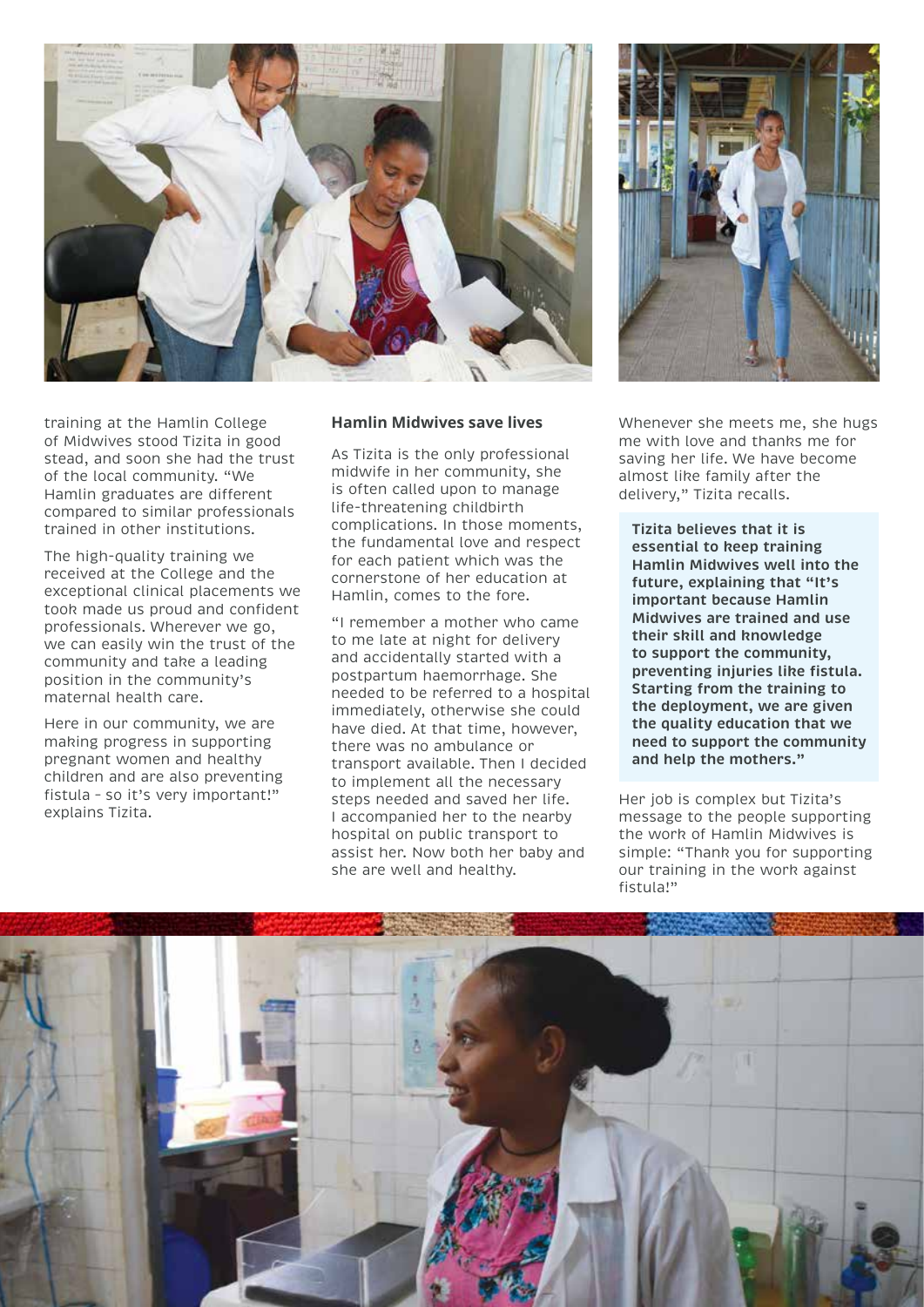

training at the Hamlin College of Midwives stood Tizita in good stead, and soon she had the trust of the local community. "We Hamlin graduates are different compared to similar professionals trained in other institutions.

The high-quality training we received at the College and the exceptional clinical placements we took made us proud and confident professionals. Wherever we go, we can easily win the trust of the community and take a leading position in the community's maternal health care.

Here in our community, we are making progress in supporting pregnant women and healthy children and are also preventing fistula – so it's very important!" explains Tizita.

#### **Hamlin Midwives save lives**

As Tizita is the only professional midwife in her community, she is often called upon to manage life-threatening childbirth complications. In those moments, the fundamental love and respect for each patient which was the cornerstone of her education at Hamlin, comes to the fore.

"I remember a mother who came to me late at night for delivery and accidentally started with a postpartum haemorrhage. She needed to be referred to a hospital immediately, otherwise she could have died. At that time, however, there was no ambulance or transport available. Then I decided to implement all the necessary steps needed and saved her life. I accompanied her to the nearby hospital on public transport to assist her. Now both her baby and she are well and healthy.



Whenever she meets me, she hugs me with love and thanks me for saving her life. We have become almost like family after the delivery," Tizita recalls.

**Tizita believes that it is essential to keep training Hamlin Midwives well into the future, explaining that "It's important because Hamlin Midwives are trained and use their skill and knowledge to support the community, preventing injuries like fistula. Starting from the training to the deployment, we are given the quality education that we need to support the community and help the mothers."**

Her job is complex but Tizita's message to the people supporting the work of Hamlin Midwives is simple: "Thank you for supporting our training in the work against fistula!"